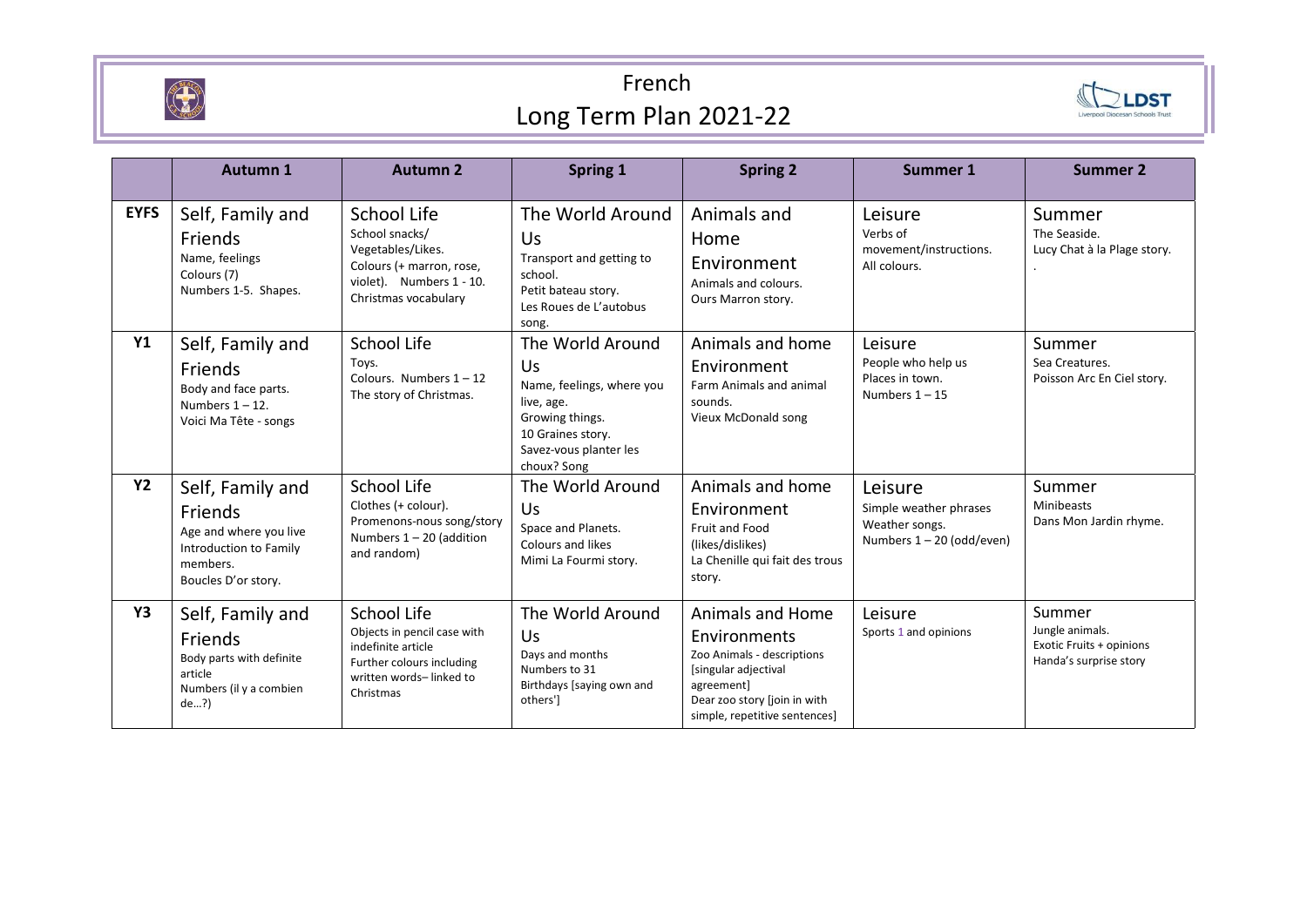

## French Long Term Plan 2021-22



|             | Autumn 1                                                                                                           | <b>Autumn 2</b>                                                                                                                           | <b>Spring 1</b>                                                                                                                                    | <b>Spring 2</b>                                                                                                                                                       | Summer 1                                                                           | Summer 2                                                                        |
|-------------|--------------------------------------------------------------------------------------------------------------------|-------------------------------------------------------------------------------------------------------------------------------------------|----------------------------------------------------------------------------------------------------------------------------------------------------|-----------------------------------------------------------------------------------------------------------------------------------------------------------------------|------------------------------------------------------------------------------------|---------------------------------------------------------------------------------|
| <b>EYFS</b> | Self, Family and<br>Friends<br>Name, feelings<br>Colours (7)<br>Numbers 1-5. Shapes.                               | <b>School Life</b><br>School snacks/<br>Vegetables/Likes.<br>Colours (+ marron, rose,<br>violet). Numbers 1 - 10.<br>Christmas vocabulary | The World Around<br>Us<br>Transport and getting to<br>school.<br>Petit bateau story.<br>Les Roues de L'autobus<br>song.                            | Animals and<br>Home<br>Environment<br>Animals and colours.<br>Ours Marron story.                                                                                      | Leisure<br>Verbs of<br>movement/instructions.<br>All colours.                      | Summer<br>The Seaside.<br>Lucy Chat à la Plage story.                           |
| <b>Y1</b>   | Self, Family and<br><b>Friends</b><br>Body and face parts.<br>Numbers $1 - 12$ .<br>Voici Ma Tête - songs          | School Life<br>Toys.<br>Colours. Numbers $1 - 12$<br>The story of Christmas.                                                              | The World Around<br>Us<br>Name, feelings, where you<br>live, age.<br>Growing things.<br>10 Graines story.<br>Savez-vous planter les<br>choux? Song | Animals and home<br>Environment<br>Farm Animals and animal<br>sounds.<br>Vieux McDonald song                                                                          | Leisure<br>People who help us<br>Places in town.<br>Numbers $1 - 15$               | Summer<br>Sea Creatures.<br>Poisson Arc En Ciel story.                          |
| <b>Y2</b>   | Self, Family and<br>Friends<br>Age and where you live<br>Introduction to Family<br>members.<br>Boucles D'or story. | School Life<br>Clothes (+ colour).<br>Promenons-nous song/story<br>Numbers $1 - 20$ (addition<br>and random)                              | The World Around<br>Us<br>Space and Planets.<br>Colours and likes<br>Mimi La Fourmi story.                                                         | Animals and home<br>Environment<br>Fruit and Food<br>(likes/dislikes)<br>La Chenille qui fait des trous<br>story.                                                     | Leisure<br>Simple weather phrases<br>Weather songs.<br>Numbers $1 - 20$ (odd/even) | Summer<br>Minibeasts<br>Dans Mon Jardin rhyme.                                  |
| Y3          | Self, Family and<br><b>Friends</b><br>Body parts with definite<br>article<br>Numbers (il y a combien<br>de?        | School Life<br>Objects in pencil case with<br>indefinite article<br>Further colours including<br>written words-linked to<br>Christmas     | The World Around<br>Us<br>Days and months<br>Numbers to 31<br>Birthdays [saying own and<br>others'l                                                | Animals and Home<br>Environments<br>Zoo Animals - descriptions<br>[singular adjectival<br>agreement]<br>Dear zoo story [join in with<br>simple, repetitive sentences] | Leisure<br>Sports 1 and opinions                                                   | Summer<br>Jungle animals.<br>Exotic Fruits + opinions<br>Handa's surprise story |